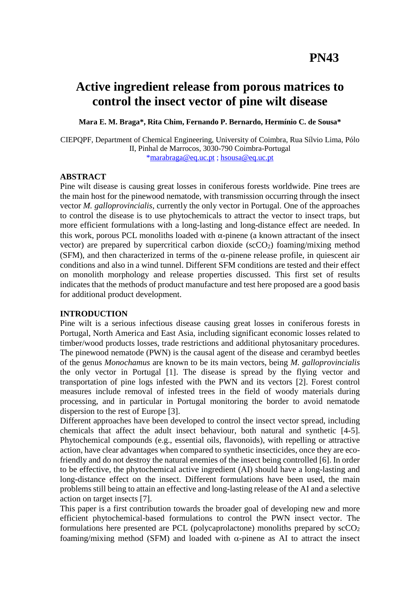# **Active ingredient release from porous matrices to control the insect vector of pine wilt disease**

**Mara E. M. Braga\*, Rita Chim, Fernando P. Bernardo, Hermínio C. de Sousa\***

CIEPQPF, Department of Chemical Engineering, University of Coimbra, Rua Sílvio Lima, Pólo II, Pinhal de Marrocos, 3030-790 Coimbra-Portugal [\\*marabraga@eq.uc.pt](mailto:*marabraga@eq.uc.pt) ; [hsousa@eq.uc.pt](mailto:hsousa@eq.uc.pt)

## **ABSTRACT**

Pine wilt disease is causing great losses in coniferous forests worldwide. Pine trees are the main host for the pinewood nematode, with transmission occurring through the insect vector *M. galloprovincialis*, currently the only vector in Portugal. One of the approaches to control the disease is to use phytochemicals to attract the vector to insect traps, but more efficient formulations with a long-lasting and long-distance effect are needed. In this work, porous PCL monoliths loaded with  $\alpha$ -pinene (a known attractant of the insect vector) are prepared by supercritical carbon dioxide ( $\sec O_2$ ) foaming/mixing method (SFM), and then characterized in terms of the  $\alpha$ -pinene release profile, in quiescent air conditions and also in a wind tunnel. Different SFM conditions are tested and their effect on monolith morphology and release properties discussed. This first set of results indicates that the methods of product manufacture and test here proposed are a good basis for additional product development.

## **INTRODUCTION**

Pine wilt is a serious infectious disease causing great losses in coniferous forests in Portugal, North America and East Asia, including significant economic losses related to timber/wood products losses, trade restrictions and additional phytosanitary procedures. The pinewood nematode (PWN) is the causal agent of the disease and cerambyd beetles of the genus *Monochamus* are known to be its main vectors, being *M. galloprovincialis* the only vector in Portugal [1]. The disease is spread by the flying vector and transportation of pine logs infested with the PWN and its vectors [2]. Forest control measures include removal of infested trees in the field of woody materials during processing, and in particular in Portugal monitoring the border to avoid nematode dispersion to the rest of Europe [3].

Different approaches have been developed to control the insect vector spread, including chemicals that affect the adult insect behaviour, both natural and synthetic [4-5]. Phytochemical compounds (e.g., essential oils, flavonoids), with repelling or attractive action, have clear advantages when compared to synthetic insecticides, once they are ecofriendly and do not destroy the natural enemies of the insect being controlled [6]. In order to be effective, the phytochemical active ingredient (AI) should have a long-lasting and long-distance effect on the insect. Different formulations have been used, the main problems still being to attain an effective and long-lasting release of the AI and a selective action on target insects [7].

This paper is a first contribution towards the broader goal of developing new and more efficient phytochemical-based formulations to control the PWN insect vector. The formulations here presented are PCL (polycaprolactone) monoliths prepared by  $\text{scCO}_2$ foaming/mixing method (SFM) and loaded with  $\alpha$ -pinene as AI to attract the insect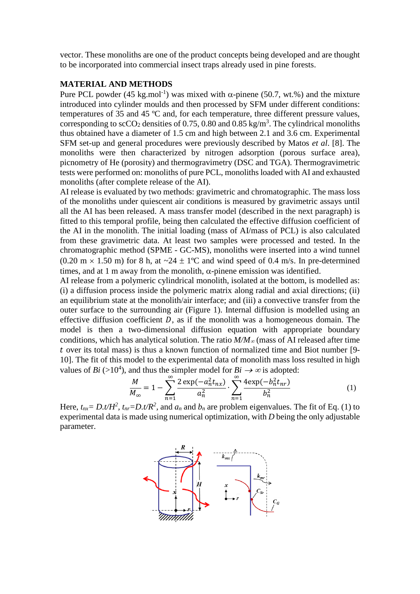vector. These monoliths are one of the product concepts being developed and are thought to be incorporated into commercial insect traps already used in pine forests.

## **MATERIAL AND METHODS**

Pure PCL powder (45 kg.mol<sup>-1</sup>) was mixed with  $\alpha$ -pinene (50.7, wt.%) and the mixture introduced into cylinder moulds and then processed by SFM under different conditions: temperatures of 35 and 45 ºC and, for each temperature, three different pressure values, corresponding to  $\sec O_2$  densities of 0.75, 0.80 and 0.85 kg/m<sup>3</sup>. The cylindrical monoliths thus obtained have a diameter of 1.5 cm and high between 2.1 and 3.6 cm. Experimental SFM set-up and general procedures were previously described by Matos *et al*. [8]. The monoliths were then characterized by nitrogen adsorption (porous surface area), picnometry of He (porosity) and thermogravimetry (DSC and TGA). Thermogravimetric tests were performed on: monoliths of pure PCL, monoliths loaded with AI and exhausted monoliths (after complete release of the AI).

AI release is evaluated by two methods: gravimetric and chromatographic. The mass loss of the monoliths under quiescent air conditions is measured by gravimetric assays until all the AI has been released. A mass transfer model (described in the next paragraph) is fitted to this temporal profile, being then calculated the effective diffusion coefficient of the AI in the monolith. The initial loading (mass of AI/mass of PCL) is also calculated from these gravimetric data. At least two samples were processed and tested. In the chromatographic method (SPME - GC-MS), monoliths were inserted into a wind tunnel  $(0.20 \text{ m} \times 1.50 \text{ m})$  for 8 h, at  $\sim 24 \pm 1\degree$ C and wind speed of 0.4 m/s. In pre-determined times, and at 1 m away from the monolith,  $\alpha$ -pinene emission was identified.

AI release from a polymeric cylindrical monolith, isolated at the bottom, is modelled as: (i) a diffusion process inside the polymeric matrix along radial and axial directions; (ii) an equilibrium state at the monolith/air interface; and (iii) a convective transfer from the outer surface to the surrounding air (Figure 1). Internal diffusion is modelled using an effective diffusion coefficient  $D$ , as if the monolith was a homogeneous domain. The model is then a two-dimensional diffusion equation with appropriate boundary conditions, which has analytical solution. The ratio  $M/M_{\infty}$  (mass of AI released after time over its total mass) is thus a known function of normalized time and Biot number [9- 10]. The fit of this model to the experimental data of monolith mass loss resulted in high values of *Bi* ( $>10^4$ ), and thus the simpler model for *Bi*  $\rightarrow \infty$  is adopted:

$$
\frac{M}{M_{\infty}} = 1 - \sum_{n=1}^{\infty} \frac{2 \exp(-a_n^2 t_{nx})}{a_n^2} \cdot \sum_{n=1}^{\infty} \frac{4 \exp(-b_n^2 t_{nr})}{b_n^2}
$$
(1)

Here,  $t_{nx} = D \cdot t / H^2$ ,  $t_{nr} = D \cdot t / R^2$ , and  $a_n$  and  $b_n$  are problem eigenvalues. The fit of Eq. (1) to experimental data is made using numerical optimization, with *D* being the only adjustable parameter.

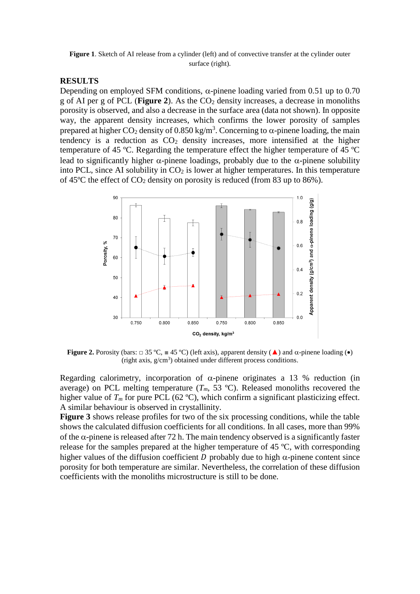Figure 1. Sketch of AI release from a cylinder (left) and of convective transfer at the cylinder outer surface (right).

#### **RESULTS**

Depending on employed SFM conditions,  $\alpha$ -pinene loading varied from 0.51 up to 0.70 g of AI per g of PCL (**Figure 2**). As the CO<sup>2</sup> density increases, a decrease in monoliths porosity is observed, and also a decrease in the surface area (data not shown). In opposite way, the apparent density increases, which confirms the lower porosity of samples prepared at higher CO<sub>2</sub> density of 0.850 kg/m<sup>3</sup>. Concerning to  $\alpha$ -pinene loading, the main tendency is a reduction as  $CO<sub>2</sub>$  density increases, more intensified at the higher temperature of 45 ºC. Regarding the temperature effect the higher temperature of 45 ºC lead to significantly higher  $\alpha$ -pinene loadings, probably due to the  $\alpha$ -pinene solubility into PCL, since AI solubility in  $CO<sub>2</sub>$  is lower at higher temperatures. In this temperature of 45 $\degree$ C the effect of CO<sub>2</sub> density on porosity is reduced (from 83 up to 86%).



**Figure 2.** Porosity (bars:  $\Box$  35 °C,  $\Box$  45 °C) (left axis), apparent density ( $\triangle$ ) and  $\alpha$ -pinene loading ( $\bullet$ ) (right axis, g/cm<sup>3</sup> ) obtained under different process conditions.

Regarding calorimetry, incorporation of  $\alpha$ -pinene originates a 13 % reduction (in average) on PCL melting temperature  $(T_m, 53 \text{ °C})$ . Released monoliths recovered the higher value of  $T_m$  for pure PCL (62 °C), which confirm a significant plasticizing effect. A similar behaviour is observed in crystallinity.

**Figure 3** shows release profiles for two of the six processing conditions, while the table shows the calculated diffusion coefficients for all conditions. In all cases, more than 99% of the  $\alpha$ -pinene is released after 72 h. The main tendency observed is a significantly faster release for the samples prepared at the higher temperature of 45 ºC, with corresponding higher values of the diffusion coefficient  $D$  probably due to high  $\alpha$ -pinene content since porosity for both temperature are similar. Nevertheless, the correlation of these diffusion coefficients with the monoliths microstructure is still to be done.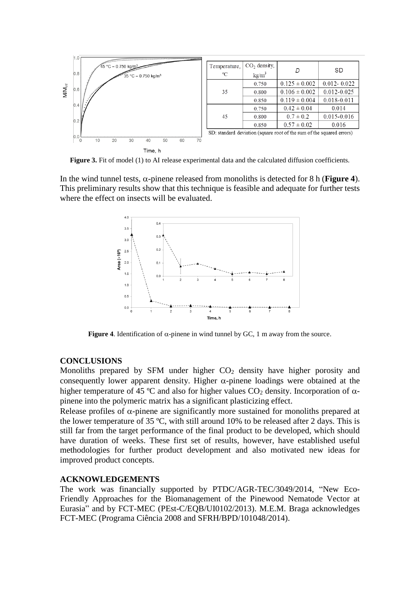

**Figure 3.** Fit of model (1) to AI release experimental data and the calculated diffusion coefficients.

In the wind tunnel tests,  $\alpha$ -pinene released from monoliths is detected for 8 h (**Figure 4**). This preliminary results show that this technique is feasible and adequate for further tests where the effect on insects will be evaluated.



**Figure 4.** Identification of  $\alpha$ -pinene in wind tunnel by GC, 1 m away from the source.

#### **CONCLUSIONS**

Monoliths prepared by SFM under higher  $CO<sub>2</sub>$  density have higher porosity and consequently lower apparent density. Higher  $\alpha$ -pinene loadings were obtained at the higher temperature of 45 °C and also for higher values  $CO<sub>2</sub>$  density. Incorporation of  $\alpha$ pinene into the polymeric matrix has a significant plasticizing effect.

Release profiles of  $\alpha$ -pinene are significantly more sustained for monoliths prepared at the lower temperature of 35 ºC, with still around 10% to be released after 2 days. This is still far from the target performance of the final product to be developed, which should have duration of weeks. These first set of results, however, have established useful methodologies for further product development and also motivated new ideas for improved product concepts.

#### **ACKNOWLEDGEMENTS**

The work was financially supported by PTDC/AGR-TEC/3049/2014, "New Eco-Friendly Approaches for the Biomanagement of the Pinewood Nematode Vector at Eurasia" and by FCT-MEC (PEst-C/EQB/UI0102/2013). M.E.M. Braga acknowledges FCT-MEC (Programa Ciência 2008 and SFRH/BPD/101048/2014).